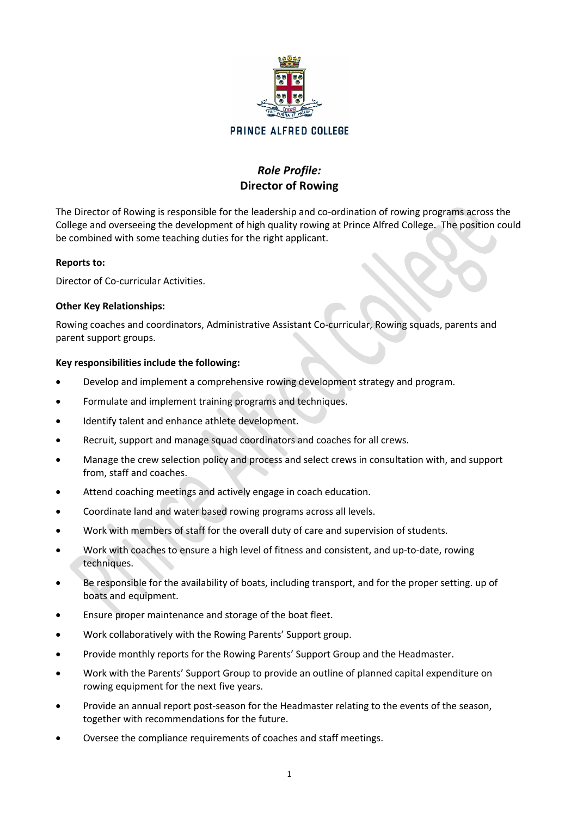

# *Role Profile:* **Director of Rowing**

The Director of Rowing is responsible for the leadership and co-ordination of rowing programs across the College and overseeing the development of high quality rowing at Prince Alfred College. The position could be combined with some teaching duties for the right applicant.

### **Reports to:**

Director of Co-curricular Activities.

### **Other Key Relationships:**

Rowing coaches and coordinators, Administrative Assistant Co-curricular, Rowing squads, parents and parent support groups.

## **Key responsibilities include the following:**

- Develop and implement a comprehensive rowing development strategy and program.
- Formulate and implement training programs and techniques.
- Identify talent and enhance athlete development.
- Recruit, support and manage squad coordinators and coaches for all crews.
- Manage the crew selection policy and process and select crews in consultation with, and support from, staff and coaches.
- Attend coaching meetings and actively engage in coach education.
- Coordinate land and water based rowing programs across all levels.
- Work with members of staff for the overall duty of care and supervision of students.
- Work with coaches to ensure a high level of fitness and consistent, and up-to-date, rowing techniques.
- Be responsible for the availability of boats, including transport, and for the proper setting. up of boats and equipment.
- Ensure proper maintenance and storage of the boat fleet.
- Work collaboratively with the Rowing Parents' Support group.
- Provide monthly reports for the Rowing Parents' Support Group and the Headmaster.
- Work with the Parents' Support Group to provide an outline of planned capital expenditure on rowing equipment for the next five years.
- Provide an annual report post-season for the Headmaster relating to the events of the season, together with recommendations for the future.
- Oversee the compliance requirements of coaches and staff meetings.